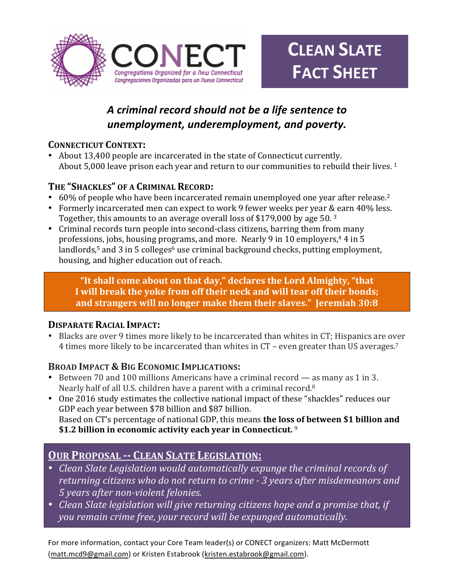

# *A criminal record should not be a life sentence to unemployment, underemployment, and poverty.*

### **CONNECTICUT CONTEXT:**

• About 13,400 people are incarcerated in the state of Connecticut currently. About  $5,000$  leave prison each vear and return to our communities to rebuild their lives. <sup>1</sup>

## THE "SHACKLES" OF A CRIMINAL RECORD:

- 60% of people who have been incarcerated remain unemployed one year after release.<sup>2</sup>
- Formerly incarcerated men can expect to work 9 fewer weeks per year & earn 40% less. Together, this amounts to an average overall loss of \$179,000 by age 50.  $3$
- Criminal records turn people into second-class citizens, barring them from many professions, jobs, housing programs, and more. Nearly 9 in 10 employers,<sup>4</sup> 4 in 5 landlords,<sup>5</sup> and 3 in 5 colleges<sup>6</sup> use criminal background checks, putting employment, housing, and higher education out of reach.

"It shall come about on that day," declares the Lord Almighty, "that I will break the yoke from off their neck and will tear off their bonds; and strangers will no longer make them their slaves." Jeremiah 30:8

### **DISPARATE RACIAL IMPACT:**

Blacks are over 9 times more likely to be incarcerated than whites in CT; Hispanics are over 4 times more likely to be incarcerated than whites in  $CT$  – even greater than US averages.<sup>7</sup>

## **BROAD IMPACT & BIG ECONOMIC IMPLICATIONS:**

- Between 70 and 100 millions Americans have a criminal record as many as 1 in 3. Nearly half of all U.S. children have a parent with a criminal record.<sup>8</sup>
- One 2016 study estimates the collective national impact of these "shackles" reduces our GDP each vear between \$78 billion and \$87 billion. Based on CT's percentage of national GDP, this means **the loss of between \$1 billion and** \$1.2 billion in economic activity each year in Connecticut. <sup>9</sup>

## **OUR PROPOSAL -- CLEAN SLATE LEGISLATION:**

- *Clean Slate Legislation would automatically expunge the criminal records of* returning citizens who do not return to crime - 3 years after misdemeanors and *5 years after non-violent felonies.*
- *Clean Slate legislation will give returning citizens hope and a promise that, if* you remain crime free, your record will be expunged automatically.

For more information, contact your Core Team leader(s) or CONECT organizers: Matt McDermott (matt.mcd9@gmail.com) or Kristen Estabrook (kristen.estabrook@gmail.com).